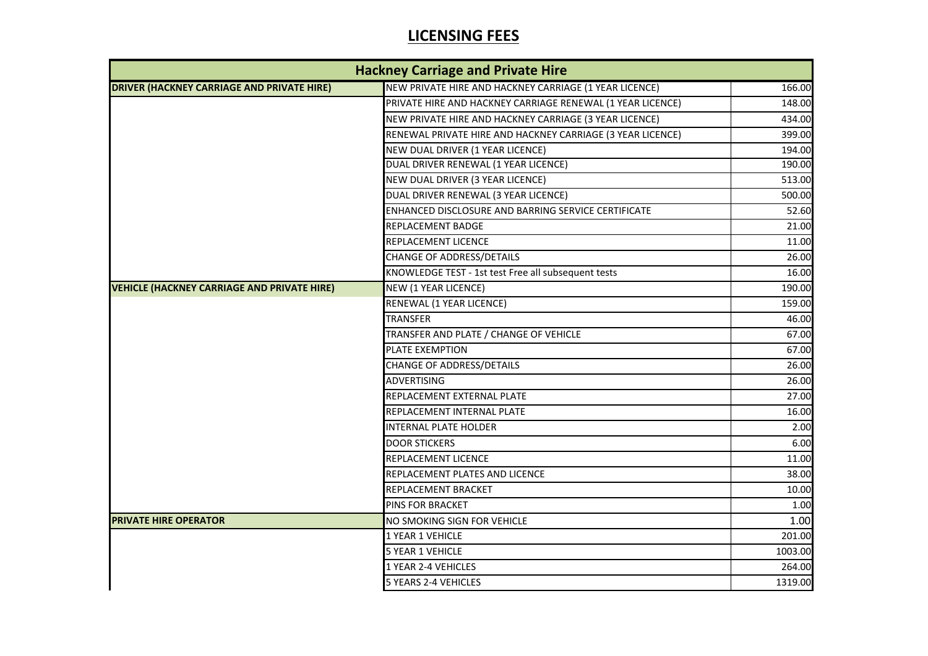| <b>Hackney Carriage and Private Hire</b>           |                                                            |         |
|----------------------------------------------------|------------------------------------------------------------|---------|
| <b>DRIVER (HACKNEY CARRIAGE AND PRIVATE HIRE)</b>  | NEW PRIVATE HIRE AND HACKNEY CARRIAGE (1 YEAR LICENCE)     | 166.00  |
|                                                    | PRIVATE HIRE AND HACKNEY CARRIAGE RENEWAL (1 YEAR LICENCE) | 148.00  |
|                                                    | NEW PRIVATE HIRE AND HACKNEY CARRIAGE (3 YEAR LICENCE)     | 434.00  |
|                                                    | RENEWAL PRIVATE HIRE AND HACKNEY CARRIAGE (3 YEAR LICENCE) | 399.00  |
|                                                    | NEW DUAL DRIVER (1 YEAR LICENCE)                           | 194.00  |
|                                                    | DUAL DRIVER RENEWAL (1 YEAR LICENCE)                       | 190.00  |
|                                                    | NEW DUAL DRIVER (3 YEAR LICENCE)                           | 513.00  |
|                                                    | DUAL DRIVER RENEWAL (3 YEAR LICENCE)                       | 500.00  |
|                                                    | ENHANCED DISCLOSURE AND BARRING SERVICE CERTIFICATE        | 52.60   |
|                                                    | REPLACEMENT BADGE                                          | 21.00   |
|                                                    | REPLACEMENT LICENCE                                        | 11.00   |
|                                                    | <b>CHANGE OF ADDRESS/DETAILS</b>                           | 26.00   |
|                                                    | KNOWLEDGE TEST - 1st test Free all subsequent tests        | 16.00   |
| <b>VEHICLE (HACKNEY CARRIAGE AND PRIVATE HIRE)</b> | NEW (1 YEAR LICENCE)                                       | 190.00  |
|                                                    | RENEWAL (1 YEAR LICENCE)                                   | 159.00  |
|                                                    | <b>TRANSFER</b>                                            | 46.00   |
|                                                    | TRANSFER AND PLATE / CHANGE OF VEHICLE                     | 67.00   |
|                                                    | PLATE EXEMPTION                                            | 67.00   |
|                                                    | <b>CHANGE OF ADDRESS/DETAILS</b>                           | 26.00   |
|                                                    | ADVERTISING                                                | 26.00   |
|                                                    | REPLACEMENT EXTERNAL PLATE                                 | 27.00   |
|                                                    | REPLACEMENT INTERNAL PLATE                                 | 16.00   |
|                                                    | <b>INTERNAL PLATE HOLDER</b>                               | 2.00    |
|                                                    | <b>DOOR STICKERS</b>                                       | 6.00    |
|                                                    | REPLACEMENT LICENCE                                        | 11.00   |
|                                                    | REPLACEMENT PLATES AND LICENCE                             | 38.00   |
|                                                    | <b>REPLACEMENT BRACKET</b>                                 | 10.00   |
|                                                    | <b>PINS FOR BRACKET</b>                                    | 1.00    |
| <b>PRIVATE HIRE OPERATOR</b>                       | NO SMOKING SIGN FOR VEHICLE                                | 1.00    |
|                                                    | <b>1 YEAR 1 VEHICLE</b>                                    | 201.00  |
|                                                    | <b>5 YEAR 1 VEHICLE</b>                                    | 1003.00 |
|                                                    | 1 YEAR 2-4 VEHICLES                                        | 264.00  |
|                                                    | 5 YEARS 2-4 VEHICLES                                       | 1319.00 |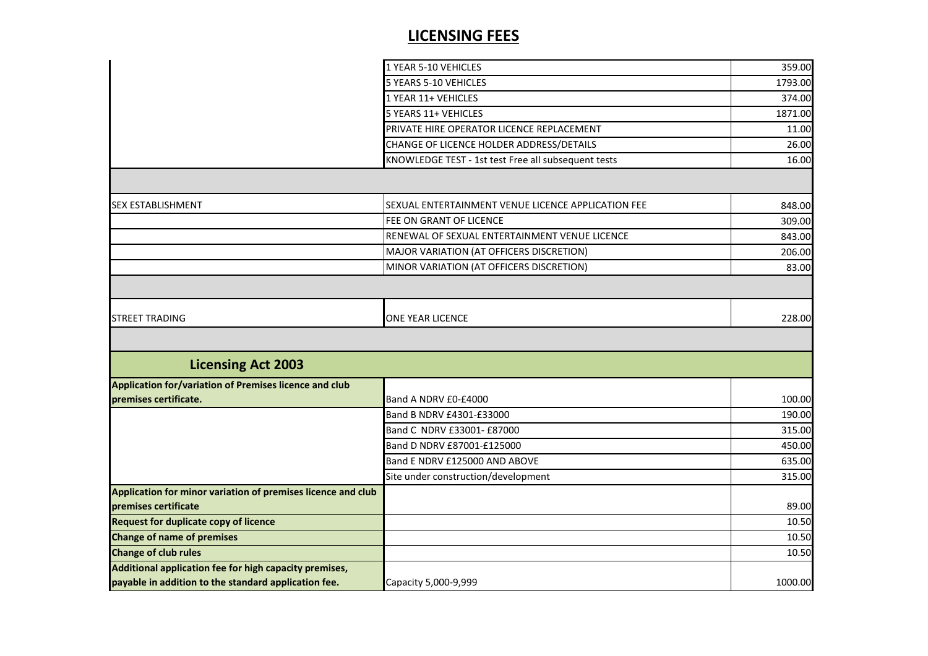|                                                              | 1 YEAR 5-10 VEHICLES                                | 359.00  |
|--------------------------------------------------------------|-----------------------------------------------------|---------|
|                                                              | 5 YEARS 5-10 VEHICLES                               | 1793.00 |
|                                                              | 1 YEAR 11+ VEHICLES                                 | 374.00  |
|                                                              | 5 YEARS 11+ VEHICLES                                | 1871.00 |
|                                                              | PRIVATE HIRE OPERATOR LICENCE REPLACEMENT           | 11.00   |
|                                                              | CHANGE OF LICENCE HOLDER ADDRESS/DETAILS            | 26.00   |
|                                                              | KNOWLEDGE TEST - 1st test Free all subsequent tests | 16.00   |
|                                                              |                                                     |         |
| <b>SEX ESTABLISHMENT</b>                                     | SEXUAL ENTERTAINMENT VENUE LICENCE APPLICATION FEE  | 848.00  |
|                                                              | FEE ON GRANT OF LICENCE                             | 309.00  |
|                                                              | RENEWAL OF SEXUAL ENTERTAINMENT VENUE LICENCE       | 843.00  |
|                                                              | MAJOR VARIATION (AT OFFICERS DISCRETION)            | 206.00  |
|                                                              | MINOR VARIATION (AT OFFICERS DISCRETION)            | 83.00   |
|                                                              |                                                     |         |
|                                                              |                                                     |         |
| <b>STREET TRADING</b>                                        | ONE YEAR LICENCE                                    | 228.00  |
|                                                              |                                                     |         |
|                                                              |                                                     |         |
| <b>Licensing Act 2003</b>                                    |                                                     |         |
| Application for/variation of Premises licence and club       |                                                     |         |
| premises certificate.                                        | Band A NDRV £0-£4000                                | 100.00  |
|                                                              | Band B NDRV £4301-£33000                            | 190.00  |
|                                                              | Band C NDRV £33001- £87000                          | 315.00  |
|                                                              | Band D NDRV £87001-£125000                          | 450.00  |
|                                                              | Band E NDRV £125000 AND ABOVE                       | 635.00  |
|                                                              | Site under construction/development                 | 315.00  |
| Application for minor variation of premises licence and club |                                                     |         |
| premises certificate                                         |                                                     | 89.00   |
| <b>Request for duplicate copy of licence</b>                 |                                                     | 10.50   |
| <b>Change of name of premises</b>                            |                                                     | 10.50   |
| <b>Change of club rules</b>                                  |                                                     | 10.50   |
| Additional application fee for high capacity premises,       |                                                     |         |
| payable in addition to the standard application fee.         | Capacity 5,000-9,999                                | 1000.00 |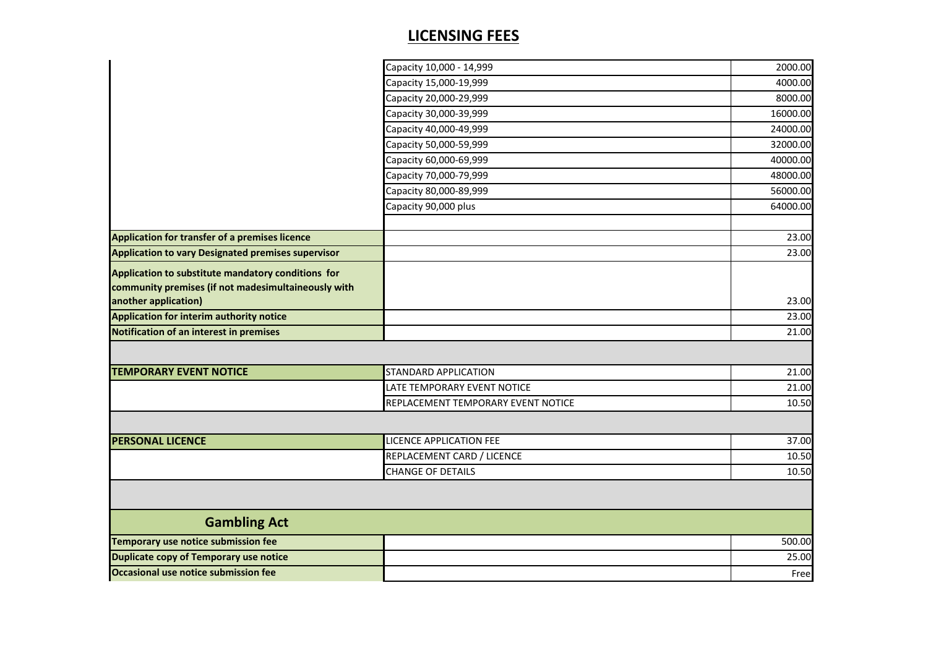|                                                           | Capacity 10,000 - 14,999           | 2000.00  |
|-----------------------------------------------------------|------------------------------------|----------|
|                                                           | Capacity 15,000-19,999             | 4000.00  |
|                                                           | Capacity 20,000-29,999             | 8000.00  |
|                                                           | Capacity 30,000-39,999             | 16000.00 |
|                                                           | Capacity 40,000-49,999             | 24000.00 |
|                                                           | Capacity 50,000-59,999             | 32000.00 |
|                                                           | Capacity 60,000-69,999             | 40000.00 |
|                                                           | Capacity 70,000-79,999             | 48000.00 |
|                                                           | Capacity 80,000-89,999             | 56000.00 |
|                                                           | Capacity 90,000 plus               | 64000.00 |
| <b>Application for transfer of a premises licence</b>     |                                    | 23.00    |
| <b>Application to vary Designated premises supervisor</b> |                                    | 23.00    |
|                                                           |                                    |          |
| Application to substitute mandatory conditions for        |                                    |          |
| community premises (if not madesimultaineously with       |                                    |          |
| another application)                                      |                                    | 23.00    |
| <b>Application for interim authority notice</b>           |                                    | 23.00    |
| <b>Notification of an interest in premises</b>            |                                    | 21.00    |
|                                                           |                                    |          |
| <b>TEMPORARY EVENT NOTICE</b>                             | STANDARD APPLICATION               | 21.00    |
|                                                           | LATE TEMPORARY EVENT NOTICE        | 21.00    |
|                                                           | REPLACEMENT TEMPORARY EVENT NOTICE | 10.50    |
|                                                           |                                    |          |
| <b>PERSONAL LICENCE</b>                                   | LICENCE APPLICATION FEE            | 37.00    |
|                                                           | REPLACEMENT CARD / LICENCE         | 10.50    |
|                                                           | <b>CHANGE OF DETAILS</b>           | 10.50    |
|                                                           |                                    |          |
|                                                           |                                    |          |
| <b>Gambling Act</b>                                       |                                    |          |
| <b>Temporary use notice submission fee</b>                |                                    | 500.00   |
| <b>Duplicate copy of Temporary use notice</b>             |                                    | 25.00    |
| <b>Occasional use notice submission fee</b>               |                                    | Free     |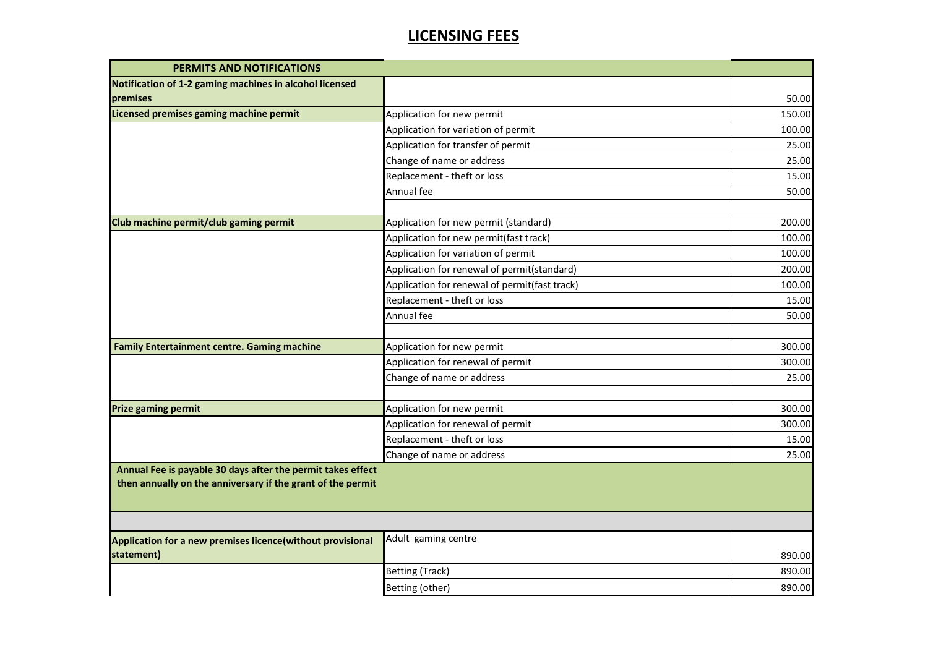| PERMITS AND NOTIFICATIONS                                   |                                               |        |
|-------------------------------------------------------------|-----------------------------------------------|--------|
| Notification of 1-2 gaming machines in alcohol licensed     |                                               |        |
| premises                                                    |                                               | 50.00  |
| Licensed premises gaming machine permit                     | Application for new permit                    | 150.00 |
|                                                             | Application for variation of permit           | 100.00 |
|                                                             | Application for transfer of permit            | 25.00  |
|                                                             | Change of name or address                     | 25.00  |
|                                                             | Replacement - theft or loss                   | 15.00  |
|                                                             | Annual fee                                    | 50.00  |
|                                                             |                                               |        |
| Club machine permit/club gaming permit                      | Application for new permit (standard)         | 200.00 |
|                                                             | Application for new permit(fast track)        | 100.00 |
|                                                             | Application for variation of permit           | 100.00 |
|                                                             | Application for renewal of permit(standard)   | 200.00 |
|                                                             | Application for renewal of permit(fast track) | 100.00 |
|                                                             | Replacement - theft or loss                   | 15.00  |
|                                                             | Annual fee                                    | 50.00  |
|                                                             |                                               |        |
| <b>Family Entertainment centre. Gaming machine</b>          | Application for new permit                    | 300.00 |
|                                                             | Application for renewal of permit             | 300.00 |
|                                                             | Change of name or address                     | 25.00  |
|                                                             |                                               |        |
| <b>Prize gaming permit</b>                                  | Application for new permit                    | 300.00 |
|                                                             | Application for renewal of permit             | 300.00 |
|                                                             | Replacement - theft or loss                   | 15.00  |
|                                                             | Change of name or address                     | 25.00  |
| Annual Fee is payable 30 days after the permit takes effect |                                               |        |
| then annually on the anniversary if the grant of the permit |                                               |        |
|                                                             |                                               |        |
|                                                             |                                               |        |
|                                                             |                                               |        |
| Application for a new premises licence(without provisional  | Adult gaming centre                           |        |
| statement)                                                  |                                               | 890.00 |
|                                                             | <b>Betting (Track)</b>                        | 890.00 |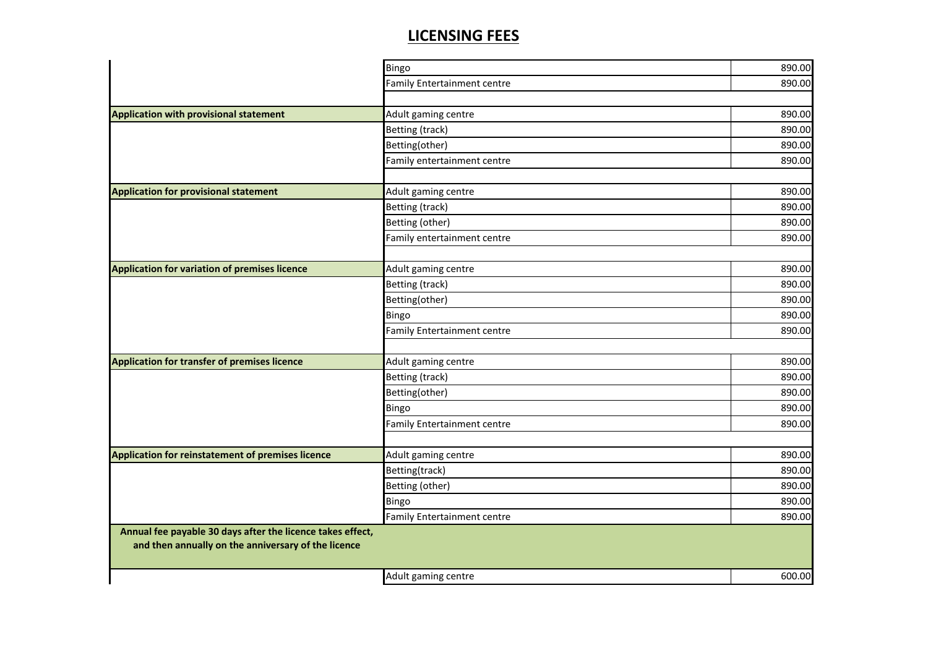|                                                            | Bingo                              | 890.00 |
|------------------------------------------------------------|------------------------------------|--------|
|                                                            | Family Entertainment centre        | 890.00 |
|                                                            |                                    |        |
| <b>Application with provisional statement</b>              | Adult gaming centre                | 890.00 |
|                                                            | Betting (track)                    | 890.00 |
|                                                            | Betting(other)                     | 890.00 |
|                                                            | Family entertainment centre        | 890.00 |
|                                                            |                                    |        |
| Application for provisional statement                      | Adult gaming centre                | 890.00 |
|                                                            | Betting (track)                    | 890.00 |
|                                                            | Betting (other)                    | 890.00 |
|                                                            | Family entertainment centre        | 890.00 |
|                                                            |                                    |        |
| Application for variation of premises licence              | Adult gaming centre                | 890.00 |
|                                                            | Betting (track)                    | 890.00 |
|                                                            | Betting(other)                     | 890.00 |
|                                                            | Bingo                              | 890.00 |
|                                                            | Family Entertainment centre        | 890.00 |
|                                                            |                                    |        |
| Application for transfer of premises licence               | Adult gaming centre                | 890.00 |
|                                                            | Betting (track)                    | 890.00 |
|                                                            | Betting(other)                     | 890.00 |
|                                                            | Bingo                              | 890.00 |
|                                                            | <b>Family Entertainment centre</b> | 890.00 |
|                                                            |                                    |        |
| Application for reinstatement of premises licence          | Adult gaming centre                | 890.00 |
|                                                            | Betting(track)                     | 890.00 |
|                                                            | Betting (other)                    | 890.00 |
|                                                            | Bingo                              | 890.00 |
|                                                            | <b>Family Entertainment centre</b> | 890.00 |
| Annual fee payable 30 days after the licence takes effect, |                                    |        |
| and then annually on the anniversary of the licence        |                                    |        |
|                                                            |                                    |        |
|                                                            | Adult gaming centre                | 600.00 |